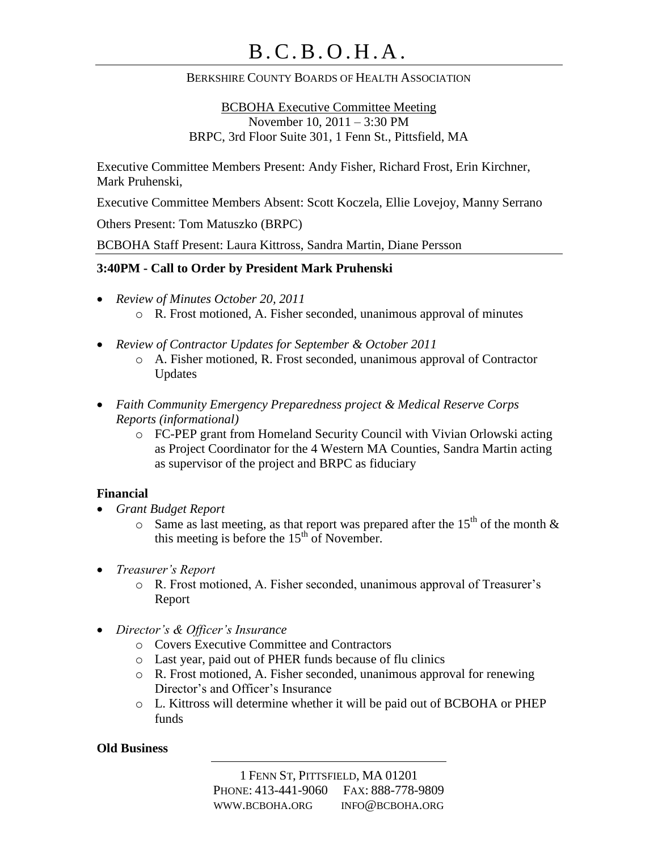## BERKSHIRE COUNTY BOARDS OF HEALTH ASSOCIATION

BCBOHA Executive Committee Meeting November 10, 2011 – 3:30 PM BRPC, 3rd Floor Suite 301, 1 Fenn St., Pittsfield, MA

Executive Committee Members Present: Andy Fisher, Richard Frost, Erin Kirchner, Mark Pruhenski,

Executive Committee Members Absent: Scott Koczela, Ellie Lovejoy, Manny Serrano

Others Present: Tom Matuszko (BRPC)

BCBOHA Staff Present: Laura Kittross, Sandra Martin, Diane Persson

## **3:40PM - Call to Order by President Mark Pruhenski**

- *Review of Minutes October 20, 2011* o R. Frost motioned, A. Fisher seconded, unanimous approval of minutes
- *Review of Contractor Updates for September & October 2011*
	- o A. Fisher motioned, R. Frost seconded, unanimous approval of Contractor Updates
- *Faith Community Emergency Preparedness project & Medical Reserve Corps Reports (informational)*
	- o FC-PEP grant from Homeland Security Council with Vivian Orlowski acting as Project Coordinator for the 4 Western MA Counties, Sandra Martin acting as supervisor of the project and BRPC as fiduciary

## **Financial**

- *Grant Budget Report*
	- $\circ$  Same as last meeting, as that report was prepared after the 15<sup>th</sup> of the month & this meeting is before the  $15<sup>th</sup>$  of November.
- *Treasurer's Report*
	- o R. Frost motioned, A. Fisher seconded, unanimous approval of Treasurer's Report
- *Director's & Officer's Insurance*
	- o Covers Executive Committee and Contractors
	- o Last year, paid out of PHER funds because of flu clinics
	- o R. Frost motioned, A. Fisher seconded, unanimous approval for renewing Director's and Officer's Insurance
	- o L. Kittross will determine whether it will be paid out of BCBOHA or PHEP funds

#### **Old Business**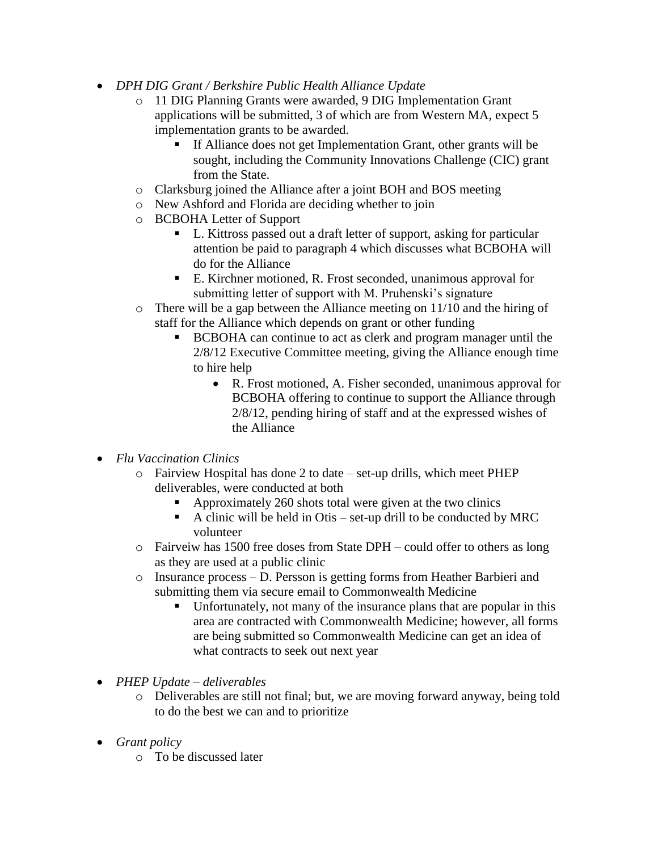- *DPH DIG Grant / Berkshire Public Health Alliance Update*
	- o 11 DIG Planning Grants were awarded, 9 DIG Implementation Grant applications will be submitted, 3 of which are from Western MA, expect 5 implementation grants to be awarded.
		- If Alliance does not get Implementation Grant, other grants will be sought, including the Community Innovations Challenge (CIC) grant from the State.
	- o Clarksburg joined the Alliance after a joint BOH and BOS meeting
	- o New Ashford and Florida are deciding whether to join
	- o BCBOHA Letter of Support
		- L. Kittross passed out a draft letter of support, asking for particular attention be paid to paragraph 4 which discusses what BCBOHA will do for the Alliance
		- E. Kirchner motioned, R. Frost seconded, unanimous approval for submitting letter of support with M. Pruhenski's signature
	- o There will be a gap between the Alliance meeting on 11/10 and the hiring of staff for the Alliance which depends on grant or other funding
		- BCBOHA can continue to act as clerk and program manager until the 2/8/12 Executive Committee meeting, giving the Alliance enough time to hire help
			- R. Frost motioned, A. Fisher seconded, unanimous approval for BCBOHA offering to continue to support the Alliance through 2/8/12, pending hiring of staff and at the expressed wishes of the Alliance
- *Flu Vaccination Clinics*
	- o Fairview Hospital has done 2 to date set-up drills, which meet PHEP deliverables, were conducted at both
		- Approximately 260 shots total were given at the two clinics
		- A clinic will be held in Otis set-up drill to be conducted by MRC volunteer
	- o Fairveiw has 1500 free doses from State DPH could offer to others as long as they are used at a public clinic
	- o Insurance process D. Persson is getting forms from Heather Barbieri and submitting them via secure email to Commonwealth Medicine
		- Unfortunately, not many of the insurance plans that are popular in this area are contracted with Commonwealth Medicine; however, all forms are being submitted so Commonwealth Medicine can get an idea of what contracts to seek out next year
- *PHEP Update – deliverables* 
	- o Deliverables are still not final; but, we are moving forward anyway, being told to do the best we can and to prioritize
- *Grant policy*
	- o To be discussed later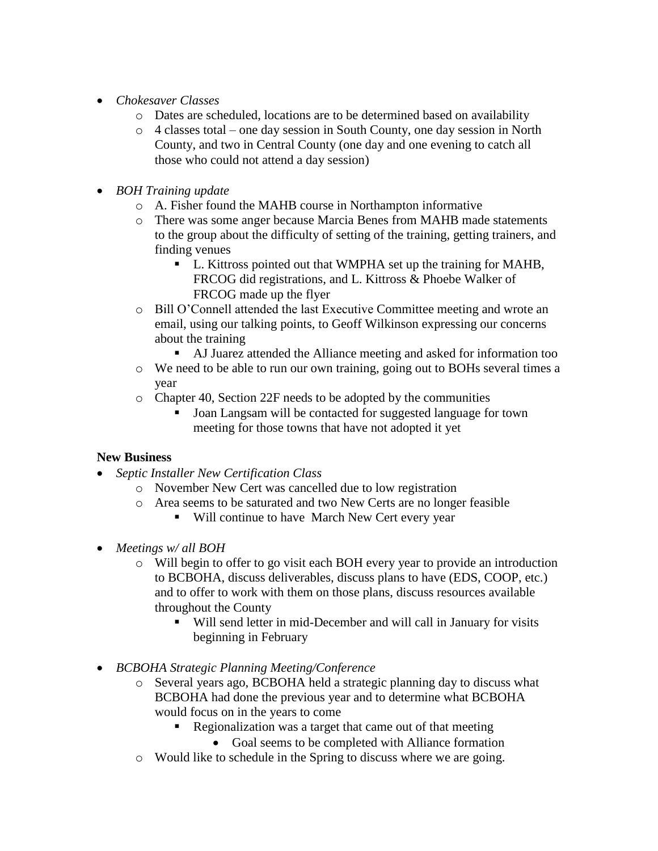- *Chokesaver Classes*
	- o Dates are scheduled, locations are to be determined based on availability
	- o 4 classes total one day session in South County, one day session in North County, and two in Central County (one day and one evening to catch all those who could not attend a day session)
- *BOH Training update*
	- o A. Fisher found the MAHB course in Northampton informative
	- o There was some anger because Marcia Benes from MAHB made statements to the group about the difficulty of setting of the training, getting trainers, and finding venues
		- L. Kittross pointed out that WMPHA set up the training for MAHB, FRCOG did registrations, and L. Kittross & Phoebe Walker of FRCOG made up the flyer
	- o Bill O'Connell attended the last Executive Committee meeting and wrote an email, using our talking points, to Geoff Wilkinson expressing our concerns about the training
		- AJ Juarez attended the Alliance meeting and asked for information too
	- o We need to be able to run our own training, going out to BOHs several times a year
	- o Chapter 40, Section 22F needs to be adopted by the communities
		- Joan Langsam will be contacted for suggested language for town meeting for those towns that have not adopted it yet

# **New Business**

- *Septic Installer New Certification Class*
	- o November New Cert was cancelled due to low registration
	- o Area seems to be saturated and two New Certs are no longer feasible
		- Will continue to have March New Cert every year
- *Meetings w/ all BOH*
	- o Will begin to offer to go visit each BOH every year to provide an introduction to BCBOHA, discuss deliverables, discuss plans to have (EDS, COOP, etc.) and to offer to work with them on those plans, discuss resources available throughout the County
		- Will send letter in mid-December and will call in January for visits beginning in February
- *BCBOHA Strategic Planning Meeting/Conference*
	- o Several years ago, BCBOHA held a strategic planning day to discuss what BCBOHA had done the previous year and to determine what BCBOHA would focus on in the years to come
		- Regionalization was a target that came out of that meeting
			- Goal seems to be completed with Alliance formation
	- o Would like to schedule in the Spring to discuss where we are going.